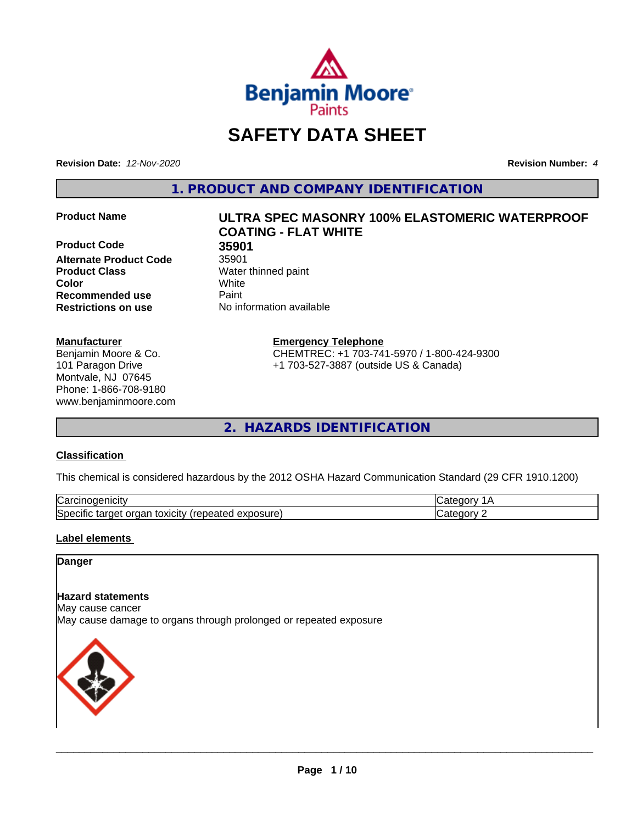

# **SAFETY DATA SHEET**

**Revision Date:** *12-Nov-2020* **Revision Number:** *4*

**1. PRODUCT AND COMPANY IDENTIFICATION**

**Product Code 35901 Alternate Product Code** 35901 **Product Class** Water thinned paint **Color** White **Recommended use Caint Restrictions on use** No information available

### **Manufacturer**

Benjamin Moore & Co. 101 Paragon Drive Montvale, NJ 07645 Phone: 1-866-708-9180 www.benjaminmoore.com

# **Product Name ULTRA SPEC MASONRY 100% ELASTOMERIC WATERPROOF COATING - FLAT WHITE**

**Emergency Telephone**

CHEMTREC: +1 703-741-5970 / 1-800-424-9300 +1 703-527-3887 (outside US & Canada)

**2. HAZARDS IDENTIFICATION**

### **Classification**

This chemical is considered hazardous by the 2012 OSHA Hazard Communication Standard (29 CFR 1910.1200)

| ⌒<br>.<br>"Jarc™<br>пісн<br>…u⊔∪∪ ≔                                                 | ----     |
|-------------------------------------------------------------------------------------|----------|
| exposure<br>. .<br>toxicity<br>50e<br>ordar<br>arger :<br>энк<br>.<br>calcu<br>50.U | ----<br> |

### **Label elements**

### **Danger**

### **Hazard statements**

May cause cancer

May cause damage to organs through prolonged or repeated exposure

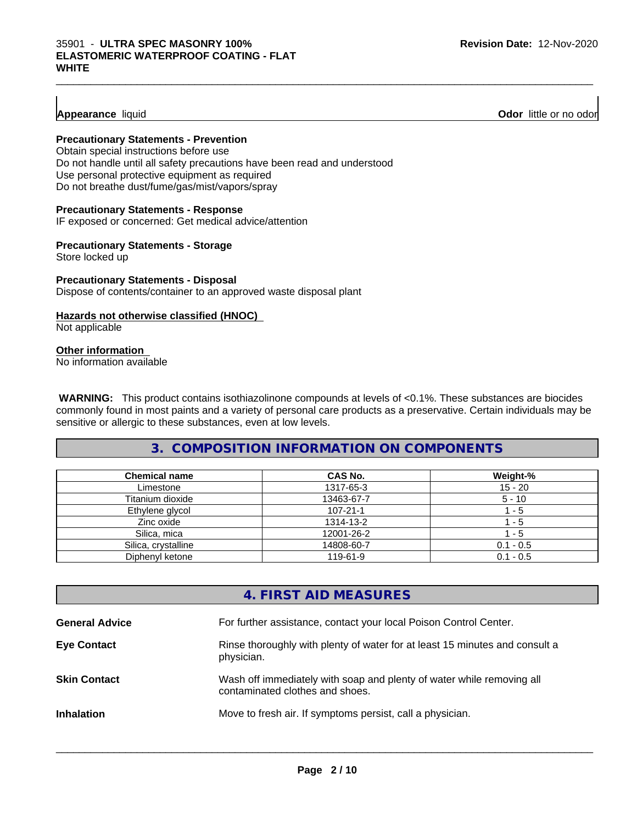### **Appearance** liquid **Odor 11** and **Odor 11** and **Odor 11** and **Odor 11** and **Odor 11** and **Odor 11** and **Odor** 11 and **Odor** 11 and **Odor** 11 and **Odor** 11 and **Odor** 11 and **Odor** 11 and **Odor** 11 and **Odor** 11 and **Odor**

### **Precautionary Statements - Prevention**

Obtain special instructions before use Do not handle until all safety precautions have been read and understood Use personal protective equipment as required Do not breathe dust/fume/gas/mist/vapors/spray

### **Precautionary Statements - Response**

IF exposed or concerned: Get medical advice/attention

### **Precautionary Statements - Storage**

Store locked up

### **Precautionary Statements - Disposal** Dispose of contents/container to an approved waste disposal plant

### **Hazards not otherwise classified (HNOC)**

Not applicable

### **Other information**

No information available

 **WARNING:** This product contains isothiazolinone compounds at levels of <0.1%. These substances are biocides commonly found in most paints and a variety of personal care products as a preservative. Certain individuals may be sensitive or allergic to these substances, even at low levels.

 $\_$  ,  $\_$  ,  $\_$  ,  $\_$  ,  $\_$  ,  $\_$  ,  $\_$  ,  $\_$  ,  $\_$  ,  $\_$  ,  $\_$  ,  $\_$  ,  $\_$  ,  $\_$  ,  $\_$  ,  $\_$  ,  $\_$  ,  $\_$  ,  $\_$  ,  $\_$  ,  $\_$  ,  $\_$  ,  $\_$  ,  $\_$  ,  $\_$  ,  $\_$  ,  $\_$  ,  $\_$  ,  $\_$  ,  $\_$  ,  $\_$  ,  $\_$  ,  $\_$  ,  $\_$  ,  $\_$  ,  $\_$  ,  $\_$  ,

### **3. COMPOSITION INFORMATION ON COMPONENTS**

| <b>Chemical name</b> | <b>CAS No.</b> | Weight-%    |
|----------------------|----------------|-------------|
| Limestone            | 1317-65-3      | $15 - 20$   |
| Titanium dioxide     | 13463-67-7     | $5 - 10$    |
| Ethylene glycol      | $107 - 21 - 1$ | - 5         |
| Zinc oxide           | 1314-13-2      | - 5         |
| Silica, mica         | 12001-26-2     | - 5         |
| Silica, crystalline  | 14808-60-7     | $0.1 - 0.5$ |
| Diphenyl ketone      | 119-61-9       | $0.1 - 0.5$ |

### **4. FIRST AID MEASURES**

| <b>General Advice</b> | For further assistance, contact your local Poison Control Center.                                        |
|-----------------------|----------------------------------------------------------------------------------------------------------|
| <b>Eye Contact</b>    | Rinse thoroughly with plenty of water for at least 15 minutes and consult a<br>physician.                |
| <b>Skin Contact</b>   | Wash off immediately with soap and plenty of water while removing all<br>contaminated clothes and shoes. |
| <b>Inhalation</b>     | Move to fresh air. If symptoms persist, call a physician.                                                |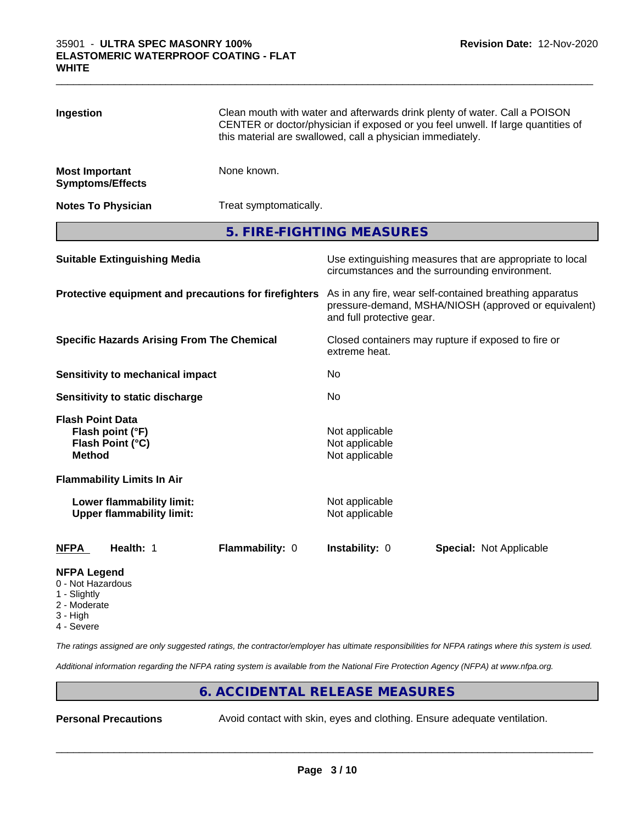| Ingestion                                             |                                                               | Clean mouth with water and afterwards drink plenty of water. Call a POISON<br>CENTER or doctor/physician if exposed or you feel unwell. If large quantities of<br>this material are swallowed, call a physician immediately. |                                                    |                                                                                                            |  |  |
|-------------------------------------------------------|---------------------------------------------------------------|------------------------------------------------------------------------------------------------------------------------------------------------------------------------------------------------------------------------------|----------------------------------------------------|------------------------------------------------------------------------------------------------------------|--|--|
| <b>Most Important</b><br><b>Symptoms/Effects</b>      |                                                               | None known.                                                                                                                                                                                                                  |                                                    |                                                                                                            |  |  |
|                                                       | <b>Notes To Physician</b>                                     | Treat symptomatically.                                                                                                                                                                                                       |                                                    |                                                                                                            |  |  |
|                                                       |                                                               |                                                                                                                                                                                                                              | 5. FIRE-FIGHTING MEASURES                          |                                                                                                            |  |  |
|                                                       | <b>Suitable Extinguishing Media</b>                           |                                                                                                                                                                                                                              |                                                    | Use extinguishing measures that are appropriate to local<br>circumstances and the surrounding environment. |  |  |
| Protective equipment and precautions for firefighters |                                                               | As in any fire, wear self-contained breathing apparatus<br>pressure-demand, MSHA/NIOSH (approved or equivalent)<br>and full protective gear.                                                                                 |                                                    |                                                                                                            |  |  |
| <b>Specific Hazards Arising From The Chemical</b>     |                                                               | Closed containers may rupture if exposed to fire or<br>extreme heat.                                                                                                                                                         |                                                    |                                                                                                            |  |  |
|                                                       | <b>Sensitivity to mechanical impact</b>                       |                                                                                                                                                                                                                              | No                                                 |                                                                                                            |  |  |
|                                                       | Sensitivity to static discharge                               |                                                                                                                                                                                                                              | No                                                 |                                                                                                            |  |  |
| <b>Flash Point Data</b><br><b>Method</b>              | Flash point (°F)<br>Flash Point (°C)                          |                                                                                                                                                                                                                              | Not applicable<br>Not applicable<br>Not applicable |                                                                                                            |  |  |
|                                                       | <b>Flammability Limits In Air</b>                             |                                                                                                                                                                                                                              |                                                    |                                                                                                            |  |  |
|                                                       | Lower flammability limit:<br><b>Upper flammability limit:</b> |                                                                                                                                                                                                                              | Not applicable<br>Not applicable                   |                                                                                                            |  |  |
| <b>NFPA</b>                                           | Health: 1                                                     | Flammability: 0                                                                                                                                                                                                              | Instability: 0                                     | <b>Special: Not Applicable</b>                                                                             |  |  |
| <b>NFPA Legend</b><br>0 - Not Hazardous               |                                                               |                                                                                                                                                                                                                              |                                                    |                                                                                                            |  |  |

 $\_$  ,  $\_$  ,  $\_$  ,  $\_$  ,  $\_$  ,  $\_$  ,  $\_$  ,  $\_$  ,  $\_$  ,  $\_$  ,  $\_$  ,  $\_$  ,  $\_$  ,  $\_$  ,  $\_$  ,  $\_$  ,  $\_$  ,  $\_$  ,  $\_$  ,  $\_$  ,  $\_$  ,  $\_$  ,  $\_$  ,  $\_$  ,  $\_$  ,  $\_$  ,  $\_$  ,  $\_$  ,  $\_$  ,  $\_$  ,  $\_$  ,  $\_$  ,  $\_$  ,  $\_$  ,  $\_$  ,  $\_$  ,  $\_$  ,

- 1 Slightly
- 2 Moderate
- 3 High
- 4 Severe

*The ratings assigned are only suggested ratings, the contractor/employer has ultimate responsibilities for NFPA ratings where this system is used.*

*Additional information regarding the NFPA rating system is available from the National Fire Protection Agency (NFPA) at www.nfpa.org.*

### **6. ACCIDENTAL RELEASE MEASURES**

**Personal Precautions** Avoid contact with skin, eyes and clothing. Ensure adequate ventilation.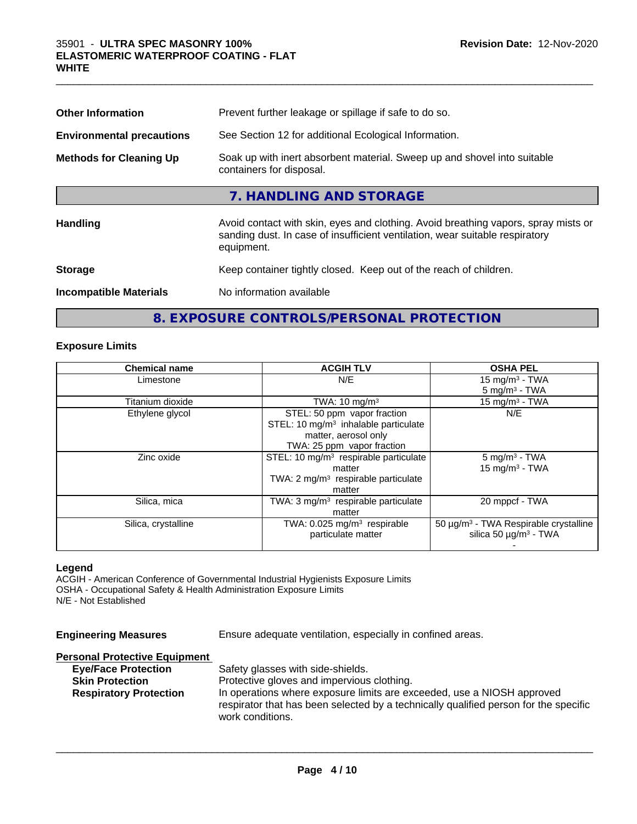| <b>Other Information</b>         | Prevent further leakage or spillage if safe to do so.                                                                                                                            |
|----------------------------------|----------------------------------------------------------------------------------------------------------------------------------------------------------------------------------|
| <b>Environmental precautions</b> | See Section 12 for additional Ecological Information.                                                                                                                            |
| <b>Methods for Cleaning Up</b>   | Soak up with inert absorbent material. Sweep up and shovel into suitable<br>containers for disposal.                                                                             |
|                                  | 7. HANDLING AND STORAGE                                                                                                                                                          |
| Handling                         | Avoid contact with skin, eyes and clothing. Avoid breathing vapors, spray mists or<br>sanding dust. In case of insufficient ventilation, wear suitable respiratory<br>equipment. |
| <b>Storage</b>                   | Keep container tightly closed. Keep out of the reach of children.                                                                                                                |
| <b>Incompatible Materials</b>    | No information available                                                                                                                                                         |

 $\_$  ,  $\_$  ,  $\_$  ,  $\_$  ,  $\_$  ,  $\_$  ,  $\_$  ,  $\_$  ,  $\_$  ,  $\_$  ,  $\_$  ,  $\_$  ,  $\_$  ,  $\_$  ,  $\_$  ,  $\_$  ,  $\_$  ,  $\_$  ,  $\_$  ,  $\_$  ,  $\_$  ,  $\_$  ,  $\_$  ,  $\_$  ,  $\_$  ,  $\_$  ,  $\_$  ,  $\_$  ,  $\_$  ,  $\_$  ,  $\_$  ,  $\_$  ,  $\_$  ,  $\_$  ,  $\_$  ,  $\_$  ,  $\_$  ,

## **8. EXPOSURE CONTROLS/PERSONAL PROTECTION**

### **Exposure Limits**

| <b>Chemical name</b> | <b>ACGIH TLV</b>                                  | <b>OSHA PEL</b>                                   |
|----------------------|---------------------------------------------------|---------------------------------------------------|
| Limestone            | N/E                                               | 15 mg/m $3$ - TWA                                 |
|                      |                                                   | $5 \text{ mg/m}^3$ - TWA                          |
| Titanium dioxide     | TWA: $10 \text{ mg/m}^3$                          | 15 mg/m $3$ - TWA                                 |
| Ethylene glycol      | STEL: 50 ppm vapor fraction                       | N/E                                               |
|                      | STEL: 10 $mg/m3$ inhalable particulate            |                                                   |
|                      | matter, aerosol only                              |                                                   |
|                      | TWA: 25 ppm vapor fraction                        |                                                   |
| Zinc oxide           | STEL: 10 mg/m <sup>3</sup> respirable particulate | $5 \text{ mg/m}^3$ - TWA                          |
|                      | matter                                            | $15$ mg/m <sup>3</sup> - TWA                      |
|                      | TWA: $2 \text{ mg/m}^3$ respirable particulate    |                                                   |
|                      | matter                                            |                                                   |
| Silica, mica         | TWA: $3 \text{ mg/m}^3$ respirable particulate    | 20 mppcf - TWA                                    |
|                      | matter                                            |                                                   |
| Silica, crystalline  | TWA: $0.025$ mg/m <sup>3</sup> respirable         | 50 µg/m <sup>3</sup> - TWA Respirable crystalline |
|                      | particulate matter                                | silica 50 $\mu$ g/m <sup>3</sup> - TWA            |
|                      |                                                   |                                                   |

### **Legend**

ACGIH - American Conference of Governmental Industrial Hygienists Exposure Limits OSHA - Occupational Safety & Health Administration Exposure Limits N/E - Not Established

| <b>Engineering Measures</b><br>Ensure adequate ventilation, especially in confined areas.                                                                                                                                                                                                                                                                                                              |  |
|--------------------------------------------------------------------------------------------------------------------------------------------------------------------------------------------------------------------------------------------------------------------------------------------------------------------------------------------------------------------------------------------------------|--|
| <b>Personal Protective Equipment</b><br>Safety glasses with side-shields.<br><b>Eye/Face Protection</b><br>Protective gloves and impervious clothing.<br><b>Skin Protection</b><br>In operations where exposure limits are exceeded, use a NIOSH approved<br><b>Respiratory Protection</b><br>respirator that has been selected by a technically qualified person for the specific<br>work conditions. |  |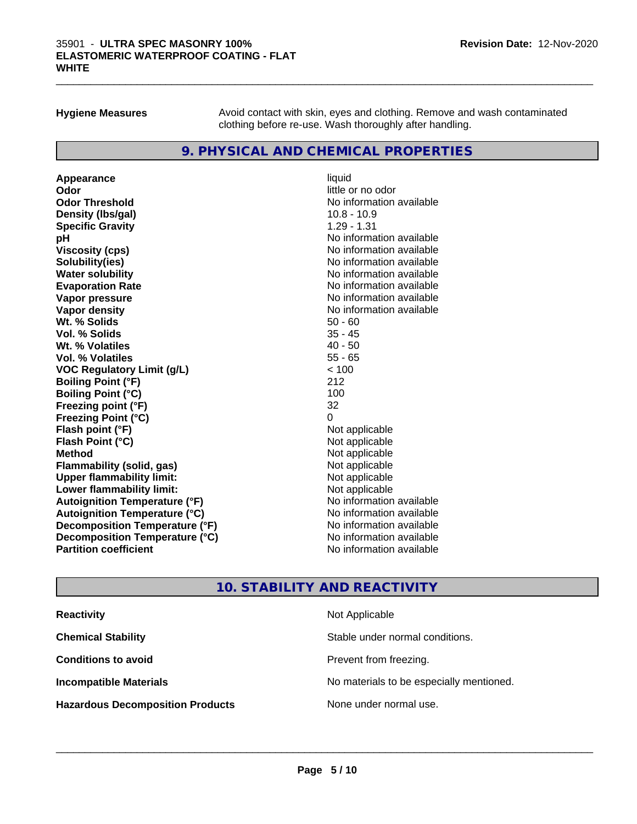**Hygiene Measures** Avoid contact with skin, eyes and clothing. Remove and wash contaminated clothing before re-use. Wash thoroughly after handling.

### **9. PHYSICAL AND CHEMICAL PROPERTIES**

**Appearance** liquid **Odor** little or no odor **Odor Threshold No information available** No information available **Density (Ibs/gal)** 10.8 - 10.9 **Specific Gravity** 1.29 - 1.31 **pH pH**  $\blacksquare$ **Viscosity (cps)** No information available No information available **Solubility(ies)** No information available **Evaporation Rate No information available No information available Vapor pressure** No information available **Vapor density No information available No** information available **Wt. % Solids** 50 - 60 **Vol. % Solids** 35 - 45<br> **Wt. % Volatiles** 35 - 45 **Wt. % Volatiles Vol. % Volatiles** 55 - 65 **VOC Regulatory Limit (g/L)** < 100 **Boiling Point (°F)** 212 **Boiling Point (°C)** 100 **Freezing point (°F)** 32 **Freezing Point (°C)**<br> **Flash point (°F)**<br> **Flash point (°F)**<br> **Point (°F)**<br> **Point (°F)**<br> **Point (°F)**<br> **Point (°F)**<br> **Point (°F) Flash point (°F) Flash Point (°C)** Not applicable **Method** Not applicable **Flammability (solid, gas)** Not applicable<br> **Upper flammability limit:** Not applicable **Upper flammability limit: Lower flammability limit:** Not applicable **Autoignition Temperature (°F)** No information available **Autoignition Temperature (°C)** No information available **Decomposition Temperature (°F)** No information available **Decomposition Temperature (°C)** No information available **Partition coefficient Contract Community No information available** 

# **No information available**

### **10. STABILITY AND REACTIVITY**

| <b>Reactivity</b>                       | Not Applicable                           |
|-----------------------------------------|------------------------------------------|
| <b>Chemical Stability</b>               | Stable under normal conditions.          |
| <b>Conditions to avoid</b>              | Prevent from freezing.                   |
| <b>Incompatible Materials</b>           | No materials to be especially mentioned. |
| <b>Hazardous Decomposition Products</b> | None under normal use.                   |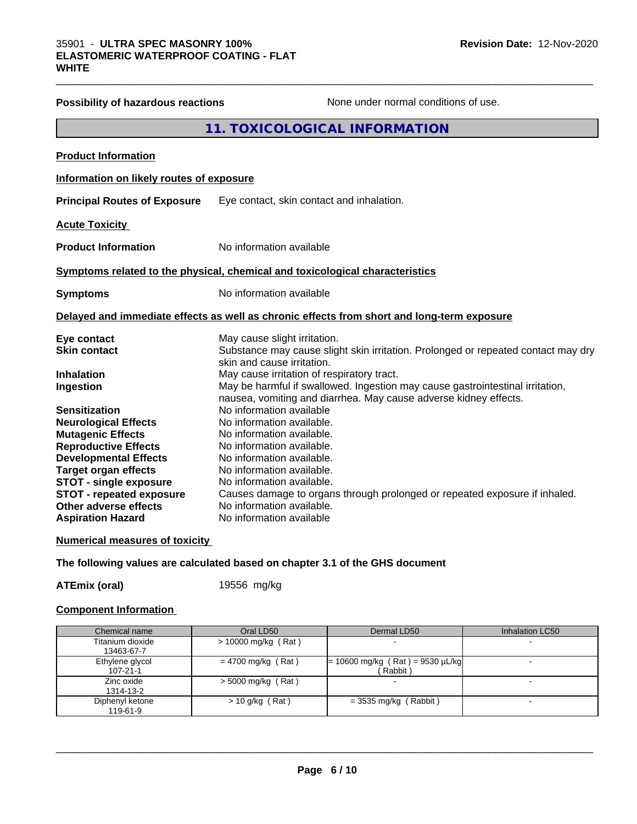| <b>Possibility of hazardous reactions</b> | None under normal conditions of use.                                                                                                              |
|-------------------------------------------|---------------------------------------------------------------------------------------------------------------------------------------------------|
|                                           | 11. TOXICOLOGICAL INFORMATION                                                                                                                     |
| <b>Product Information</b>                |                                                                                                                                                   |
| Information on likely routes of exposure  |                                                                                                                                                   |
| <b>Principal Routes of Exposure</b>       | Eye contact, skin contact and inhalation.                                                                                                         |
| <b>Acute Toxicity</b>                     |                                                                                                                                                   |
| <b>Product Information</b>                | No information available                                                                                                                          |
|                                           | Symptoms related to the physical, chemical and toxicological characteristics                                                                      |
| <b>Symptoms</b>                           | No information available                                                                                                                          |
|                                           | Delayed and immediate effects as well as chronic effects from short and long-term exposure                                                        |
| Eye contact                               | May cause slight irritation.                                                                                                                      |
| <b>Skin contact</b>                       | Substance may cause slight skin irritation. Prolonged or repeated contact may dry<br>skin and cause irritation.                                   |
| <b>Inhalation</b>                         | May cause irritation of respiratory tract.                                                                                                        |
| Ingestion                                 | May be harmful if swallowed. Ingestion may cause gastrointestinal irritation,<br>nausea, vomiting and diarrhea. May cause adverse kidney effects. |
| <b>Sensitization</b>                      | No information available                                                                                                                          |
| <b>Neurological Effects</b>               | No information available.                                                                                                                         |
| <b>Mutagenic Effects</b>                  | No information available.                                                                                                                         |
| <b>Reproductive Effects</b>               | No information available.                                                                                                                         |
| <b>Developmental Effects</b>              | No information available.                                                                                                                         |
| <b>Target organ effects</b>               | No information available.                                                                                                                         |
| <b>STOT - single exposure</b>             | No information available.                                                                                                                         |
| <b>STOT - repeated exposure</b>           | Causes damage to organs through prolonged or repeated exposure if inhaled.                                                                        |
| Other adverse effects                     | No information available.                                                                                                                         |
| <b>Aspiration Hazard</b>                  | No information available                                                                                                                          |

### **Numerical measures of toxicity**

**The following values are calculated based on chapter 3.1 of the GHS document**

**ATEmix (oral)** 19556 mg/kg

### **Component Information**

| Chemical name                     | Oral LD50            | Dermal LD50                                    | Inhalation LC50 |
|-----------------------------------|----------------------|------------------------------------------------|-----------------|
| Titanium dioxide<br>13463-67-7    | > 10000 mg/kg (Rat)  |                                                |                 |
| Ethylene glycol<br>$107 - 21 - 1$ | $= 4700$ mg/kg (Rat) | $= 10600$ mg/kg (Rat) = 9530 µL/kg<br>(Rabbit) |                 |
| Zinc oxide<br>1314-13-2           | $>$ 5000 mg/kg (Rat) |                                                |                 |
| Diphenyl ketone<br>119-61-9       | $> 10$ g/kg (Rat)    | $=$ 3535 mg/kg (Rabbit)                        |                 |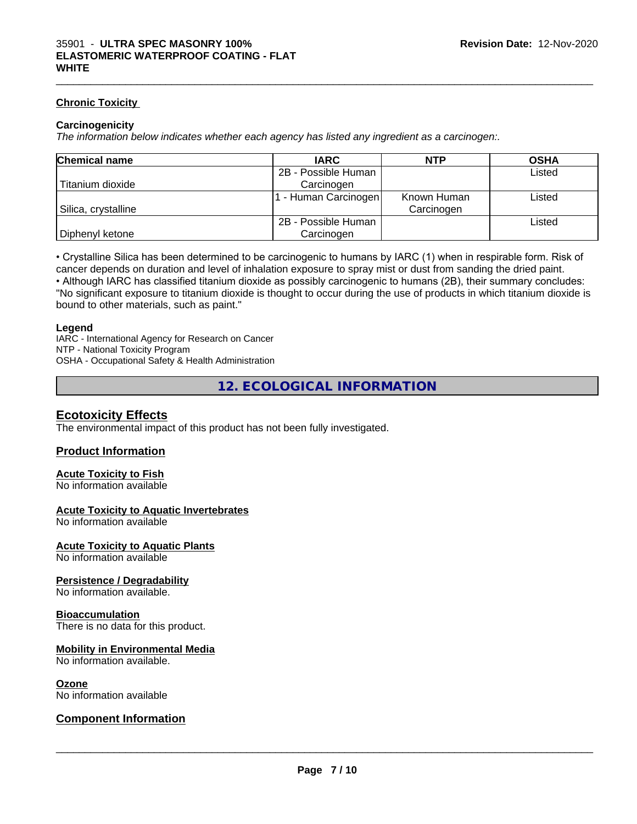### **Chronic Toxicity**

### **Carcinogenicity**

*The information below indicateswhether each agency has listed any ingredient as a carcinogen:.*

| <b>Chemical name</b> | <b>IARC</b>         | <b>NTP</b>  | <b>OSHA</b> |
|----------------------|---------------------|-------------|-------------|
|                      | 2B - Possible Human |             | Listed      |
| Titanium dioxide     | Carcinogen          |             |             |
|                      | - Human Carcinogen  | Known Human | Listed      |
| Silica, crystalline  |                     | Carcinogen  |             |
|                      | 2B - Possible Human |             | Listed      |
| Diphenyl ketone      | Carcinogen          |             |             |

• Crystalline Silica has been determined to be carcinogenic to humans by IARC (1) when in respirable form. Risk of cancer depends on duration and level of inhalation exposure to spray mist or dust from sanding the dried paint.• Although IARC has classified titanium dioxide as possibly carcinogenic to humans (2B), their summary concludes: "No significant exposure to titanium dioxide is thought to occur during the use of products in which titanium dioxide is

bound to other materials, such as paint."

### **Legend**

IARC - International Agency for Research on Cancer NTP - National Toxicity Program OSHA - Occupational Safety & Health Administration

**12. ECOLOGICAL INFORMATION**

### **Ecotoxicity Effects**

The environmental impact of this product has not been fully investigated.

### **Product Information**

### **Acute Toxicity to Fish**

No information available

### **Acute Toxicity to Aquatic Invertebrates**

No information available

### **Acute Toxicity to Aquatic Plants**

No information available

### **Persistence / Degradability**

No information available.

### **Bioaccumulation**

There is no data for this product.

### **Mobility in Environmental Media**

No information available.

### **Ozone**

No information available

### **Component Information**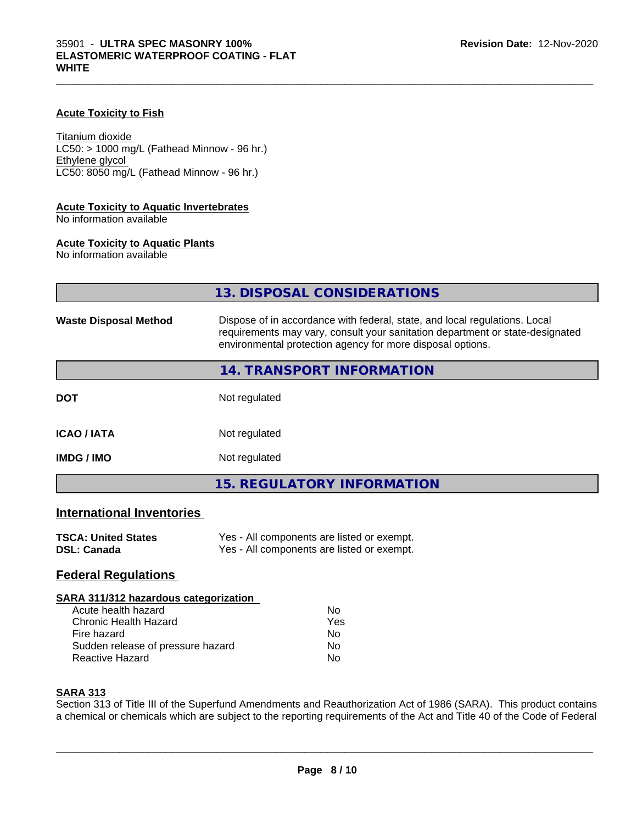### **Acute Toxicity to Fish**

Titanium dioxide  $LC50:$  > 1000 mg/L (Fathead Minnow - 96 hr.) Ethylene glycol LC50: 8050 mg/L (Fathead Minnow - 96 hr.)

### **Acute Toxicity to Aquatic Invertebrates**

No information available

### **Acute Toxicity to Aquatic Plants**

No information available

|                              | 13. DISPOSAL CONSIDERATIONS                                                                                                                                                                                               |
|------------------------------|---------------------------------------------------------------------------------------------------------------------------------------------------------------------------------------------------------------------------|
| <b>Waste Disposal Method</b> | Dispose of in accordance with federal, state, and local regulations. Local<br>requirements may vary, consult your sanitation department or state-designated<br>environmental protection agency for more disposal options. |
|                              | 14. TRANSPORT INFORMATION                                                                                                                                                                                                 |
| <b>DOT</b>                   | Not regulated                                                                                                                                                                                                             |
| <b>ICAO/IATA</b>             | Not regulated                                                                                                                                                                                                             |
| <b>IMDG/IMO</b>              | Not regulated                                                                                                                                                                                                             |
|                              | <b>15. REGULATORY INFORMATION</b>                                                                                                                                                                                         |
| International Inventories    |                                                                                                                                                                                                                           |

### **International Inventories**

| <b>TSCA: United States</b> | Yes - All components are listed or exempt. |
|----------------------------|--------------------------------------------|
| <b>DSL: Canada</b>         | Yes - All components are listed or exempt. |

### **Federal Regulations**

### **SARA 311/312 hazardous categorization**

| Acute health hazard               | Nο  |
|-----------------------------------|-----|
| Chronic Health Hazard             | Yes |
| Fire hazard                       | Nο  |
| Sudden release of pressure hazard | Nο  |
| Reactive Hazard                   | Nο  |

### **SARA 313**

Section 313 of Title III of the Superfund Amendments and Reauthorization Act of 1986 (SARA). This product contains a chemical or chemicals which are subject to the reporting requirements of the Act and Title 40 of the Code of Federal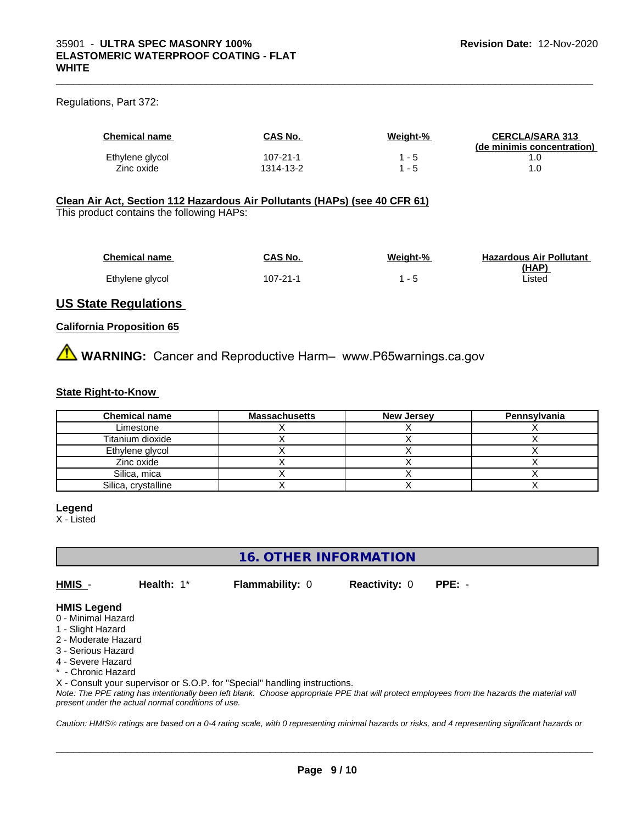### Regulations, Part 372:

| <b>Chemical name</b> | CAS No.   | Weight-% | <b>CERCLA/SARA 313</b><br>(de minimis concentration) |
|----------------------|-----------|----------|------------------------------------------------------|
| Ethylene glycol      | 107-21-1  | - 5      |                                                      |
| Zinc oxide           | 1314-13-2 | - 5      |                                                      |

 $\_$  ,  $\_$  ,  $\_$  ,  $\_$  ,  $\_$  ,  $\_$  ,  $\_$  ,  $\_$  ,  $\_$  ,  $\_$  ,  $\_$  ,  $\_$  ,  $\_$  ,  $\_$  ,  $\_$  ,  $\_$  ,  $\_$  ,  $\_$  ,  $\_$  ,  $\_$  ,  $\_$  ,  $\_$  ,  $\_$  ,  $\_$  ,  $\_$  ,  $\_$  ,  $\_$  ,  $\_$  ,  $\_$  ,  $\_$  ,  $\_$  ,  $\_$  ,  $\_$  ,  $\_$  ,  $\_$  ,  $\_$  ,  $\_$  ,

### **Clean Air Act,Section 112 Hazardous Air Pollutants (HAPs) (see 40 CFR 61)**

This product contains the following HAPs:

| <b>Chemical name</b> | CAS No.  | Weight-% | <b>Hazardous Air Pollutant</b> |
|----------------------|----------|----------|--------------------------------|
|                      |          |          | (HAP)                          |
| Ethylene glycol      | 107-21-1 |          | ∟isted                         |

### **US State Regulations**

### **California Proposition 65**

**AVIMARNING:** Cancer and Reproductive Harm– www.P65warnings.ca.gov

### **State Right-to-Know**

| <b>Chemical name</b> | <b>Massachusetts</b> | <b>New Jersey</b> | Pennsylvania |
|----------------------|----------------------|-------------------|--------------|
| Limestone            |                      |                   |              |
| Titanium dioxide     |                      |                   |              |
| Ethylene glycol      |                      |                   |              |
| Zinc oxide           |                      |                   |              |
| Silica, mica         |                      |                   |              |
| Silica, crystalline  |                      |                   |              |

### **Legend**

X - Listed

### **16. OTHER INFORMATION**

**HMIS** - **Health:** 1\* **Flammability:** 0 **Reactivity:** 0 **PPE:** -

 $\overline{\phantom{a}}$  ,  $\overline{\phantom{a}}$  ,  $\overline{\phantom{a}}$  ,  $\overline{\phantom{a}}$  ,  $\overline{\phantom{a}}$  ,  $\overline{\phantom{a}}$  ,  $\overline{\phantom{a}}$  ,  $\overline{\phantom{a}}$  ,  $\overline{\phantom{a}}$  ,  $\overline{\phantom{a}}$  ,  $\overline{\phantom{a}}$  ,  $\overline{\phantom{a}}$  ,  $\overline{\phantom{a}}$  ,  $\overline{\phantom{a}}$  ,  $\overline{\phantom{a}}$  ,  $\overline{\phantom{a}}$ 

### **HMIS Legend**

- 0 Minimal Hazard
- 1 Slight Hazard
- 2 Moderate Hazard
- 3 Serious Hazard
- 4 Severe Hazard
- \* Chronic Hazard

X - Consult your supervisor or S.O.P. for "Special" handling instructions.

*Note: The PPE rating has intentionally been left blank. Choose appropriate PPE that will protect employees from the hazards the material will present under the actual normal conditions of use.*

*Caution: HMISÒ ratings are based on a 0-4 rating scale, with 0 representing minimal hazards or risks, and 4 representing significant hazards or*